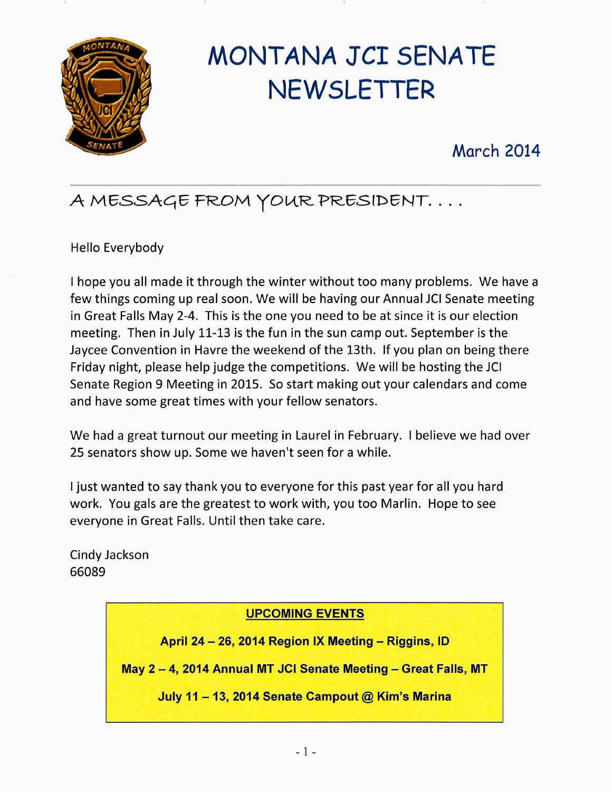

# MONTANA JCI SENATE NEWSLETTER

## March 2014

# A MESSAGE FROM YOUR PRESIDENT....

Hello Everybody

hope you all made it through the winter without too many problems. We have a few things coming up real soon. We will be having our Annual JCI Senate meeting in Great Falls May 2-4. This is the one you need to be at since it is our election meeting. Then in July 11-13 is the fun in the sun camp out. September is the Jaycee Convention in Havre the weekend of the 13th. If you plan on being there Friday night, please help judge the competitions. We will be hosting the JCI Senate Region 9 Meeting in 2015. So start making out your calendars and come and have some great times with your fellow senators.

We had a great turnout our meeting in Laurel in February. I believe we had over 25 senators show up. Some we haven't seen for a while.

I just wanted to say thank you to everyone for this past year for all you hard work. You gals are the greatest to work with, you too Marlin. Hope to see everyone in Great Falls. Until then take care.

Cindy Jackson 66089

#### UPCOMING EVENTS

April 24 — 26, 2014 Region IX Meeting — Riggins, ID

May 2 — 4, 2014 Annual MT JCI Senate Meeting —Great Falls, MT

July 11 - 13, 2014 Senate Campout  $@$  Kim's Marina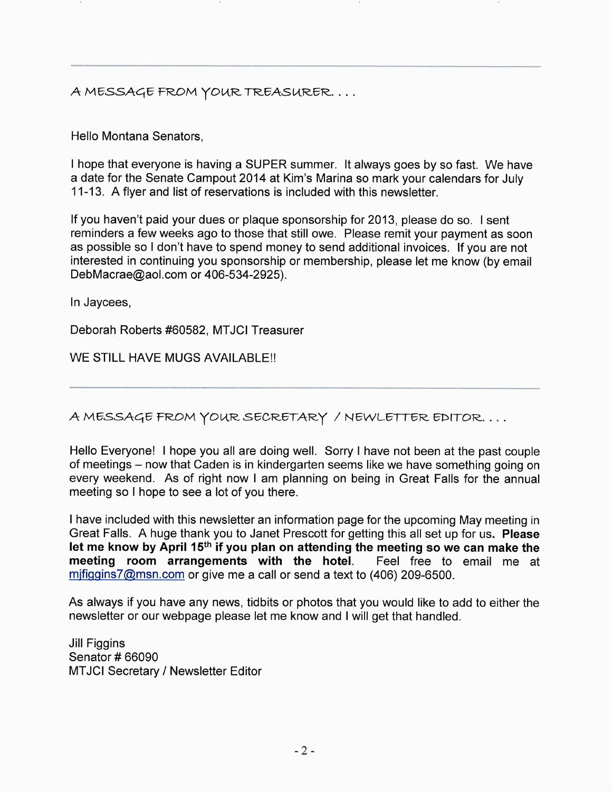A MESSAGE FROM YOUR TREASURER...

Hello Montana Senators,

hope that everyone is having a SUPER summer. It always goes by so fast. We have a date for the Senate Campout 2014 at Kim's Marina so mark your calendars for July 11-13. A flyer and list of reservations is included with this newsletter.

If you haven't paid your dues or plaque sponsorship for 2013, please do so. I sent reminders a few weeks ago to those that still owe. Please remit your payment as soon as possible so I don't have to spend money to send additional invoices. If you are not interested in continuing you sponsorship or membership, please let me know (by email DebMacrae@aol.com or 406-534-2925).

In Jaycees,

Deborah Roberts #60582, MTJCI Treasurer

WE STILL HAVE MUGS AVAILABLE!!

 $A$  MESSAGE FROM YOUR SECRETARY / NEWLETTER EDITOR...

Hello Everyone! I hope you all are doing well. Sorry I have not been at the past couple of meetings —now that Caden is in kindergarten seems like we have something going on every weekend. As of right now I am planning on being in Great Falls for the annual meeting so I hope to see a lot of you there.

have included with this newsletter an information page for the upcoming May meeting in Great Falls. A huge thank you to Janet Prescott for getting this all set up for us. Please let me know by April 15<sup>th</sup> if you plan on attending the meeting so we can make the meeting room arrangements with the hotel. Feel free to email me at meeting room arrangements with the hotel.  $mifi$ ggins7@msn.com or give me a call or send a text to (406) 209-6500.

As always if you have any news, tidbits or photos that you would like to add to either the newsletter or our webpage please let me know and I will get that handled.

Jill Figgins Senator # 66090 MTJCI Secretary / Newsletter Editor